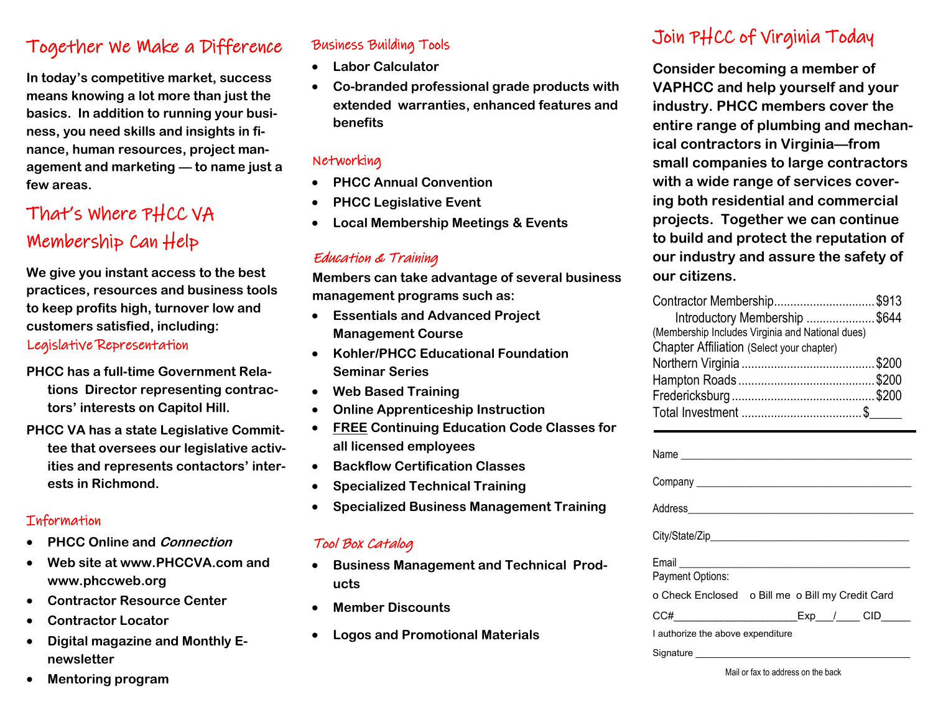# Together We Make a Difference

**In today's competitive market, success means knowing a lot more than just the basics. In addition to running your business, you need skills and insights in finance, human resources, project management and marketing — to name just a few areas.** 

# That's Where PHCC VA Membership Can Help

**We give you instant access to the best practices, resources and business tools to keep profits high, turnover low and customers satisfied, including:**

## Legislative Representation

- **PHCC has a full-time Government Relations Director representing contractors' interests on Capitol Hill.**
- **PHCC VA has a state Legislative Committee that oversees our legislative activities and represents contactors' interests in Richmond.**

#### **Information**

- **PHCC Online and Connection**
- **Web site at www.PHCCVA.com and www.phccweb.org**
- **Contractor Resource Center**
- **Contractor Locator**
- **Digital magazine and Monthly Enewsletter**

#### • **Mentoring program**

## Business Building Tools

- **Labor Calculator**
- **Co-branded professional grade products with extended warranties, enhanced features and benefits**

#### Networking

- **PHCC Annual Convention**
- **PHCC Legislative Event**
- **Local Membership Meetings & Events**

#### Education & Training

**Members can take advantage of several business management programs such as:** 

- **Essentials and Advanced Project Management Course**
- **Kohler/PHCC Educational Foundation Seminar Series**
- **Web Based Training**
- **Online Apprenticeship Instruction**
- **FREE Continuing Education Code Classes for all licensed employees**
- **Backflow Certification Classes**
- **Specialized Technical Training**
- **Specialized Business Management Training**

## Tool Box Catalog

- **Business Management and Technical Products**
- **Member Discounts**
- **Logos and Promotional Materials**

# Join PHCC of Virginia Today

**Consider becoming a member of VAPHCC and help yourself and your industry. PHCC members cover the entire range of plumbing and mechanical contractors in Virginia—from small companies to large contractors with a wide range of services covering both residential and commercial projects. Together we can continue to build and protect the reputation of our industry and assure the safety of our citizens.**

| Contractor Membership\$913                       |  |
|--------------------------------------------------|--|
| Introductory Membership \$644                    |  |
| (Membership Includes Virginia and National dues) |  |
| Chapter Affiliation (Select your chapter)        |  |
|                                                  |  |
|                                                  |  |
|                                                  |  |
|                                                  |  |

| Payment Options:                                 |
|--------------------------------------------------|
| o Check Enclosed o Bill me o Bill my Credit Card |
| Exp / CID<br>CC#___________________________      |
| I authorize the above expenditure                |
| Signature                                        |